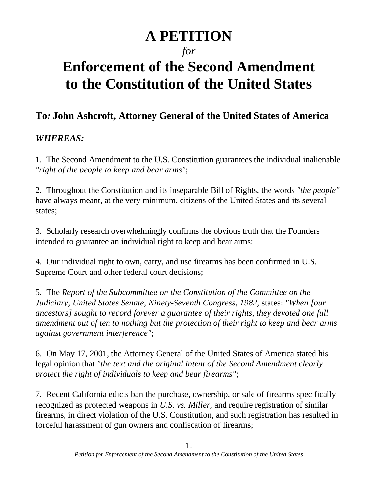# **A PETITION**

# *for*

# **Enforcement of the Second Amendment to the Constitution of the United States**

# **To***:* **John Ashcroft, Attorney General of the United States of America**

## *WHEREAS:*

1. The Second Amendment to the U.S. Constitution guarantees the individual inalienable *"right of the people to keep and bear arms"*;

2. Throughout the Constitution and its inseparable Bill of Rights, the words *"the people"* have always meant, at the very minimum, citizens of the United States and its several states;

3. Scholarly research overwhelmingly confirms the obvious truth that the Founders intended to guarantee an individual right to keep and bear arms;

4. Our individual right to own, carry, and use firearms has been confirmed in U.S. Supreme Court and other federal court decisions;

5. The *Report of the Subcommittee on the Constitution of the Committee on the Judiciary, United States Senate, Ninety-Seventh Congress, 1982*, states: *"When [our ancestors] sought to record forever a guarantee of their rights, they devoted one full amendment out of ten to nothing but the protection of their right to keep and bear arms against government interference"*;

6. On May 17, 2001, the Attorney General of the United States of America stated his legal opinion that *"the text and the original intent of the Second Amendment clearly protect the right of individuals to keep and bear firearms"*;

7. Recent California edicts ban the purchase, ownership, or sale of firearms specifically recognized as protected weapons in *U.S. vs. Miller,* and require registration of similar firearms, in direct violation of the U.S. Constitution, and such registration has resulted in forceful harassment of gun owners and confiscation of firearms;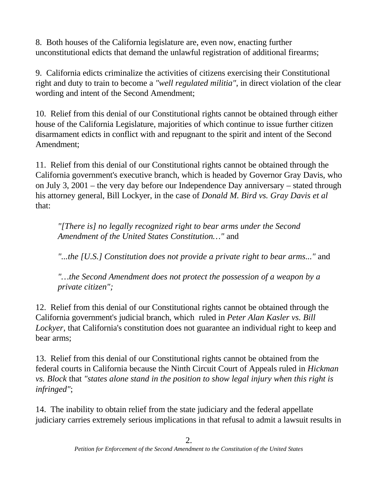8. Both houses of the California legislature are, even now, enacting further unconstitutional edicts that demand the unlawful registration of additional firearms;

9. California edicts criminalize the activities of citizens exercising their Constitutional right and duty to train to become a *"well regulated militia"*, in direct violation of the clear wording and intent of the Second Amendment;

10. Relief from this denial of our Constitutional rights cannot be obtained through either house of the California Legislature, majorities of which continue to issue further citizen disarmament edicts in conflict with and repugnant to the spirit and intent of the Second Amendment;

11. Relief from this denial of our Constitutional rights cannot be obtained through the California government's executive branch, which is headed by Governor Gray Davis, who on July 3, 2001 – the very day before our Independence Day anniversary – stated through his attorney general, Bill Lockyer, in the case of *Donald M. Bird vs. Gray Davis et al* that:

*"[There is] no legally recognized right to bear arms under the Second Amendment of the United States Constitution…"* and

*"...the [U.S.] Constitution does not provide a private right to bear arms..."* and

*"…the Second Amendment does not protect the possession of a weapon by a private citizen";*

12. Relief from this denial of our Constitutional rights cannot be obtained through the California government's judicial branch, which ruled in *Peter Alan Kasler vs. Bill Lockyer*, that California's constitution does not guarantee an individual right to keep and bear arms;

13. Relief from this denial of our Constitutional rights cannot be obtained from the federal courts in California because the Ninth Circuit Court of Appeals ruled in *Hickman vs. Block* that *"states alone stand in the position to show legal injury when this right is infringed"*;

14. The inability to obtain relief from the state judiciary and the federal appellate judiciary carries extremely serious implications in that refusal to admit a lawsuit results in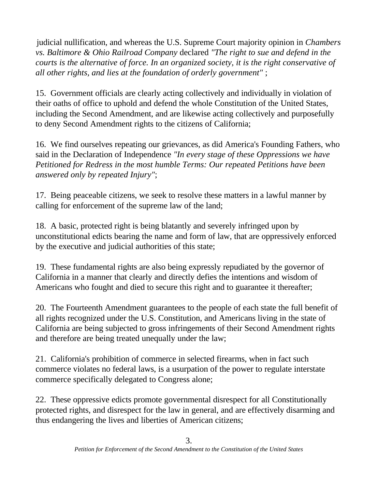judicial nullification, and whereas the U.S. Supreme Court majority opinion in *Chambers vs. Baltimore & Ohio Railroad Company* declared *"The right to sue and defend in the courts is the alternative of force. In an organized society, it is the right conservative of all other rights, and lies at the foundation of orderly government"* ;

15. Government officials are clearly acting collectively and individually in violation of their oaths of office to uphold and defend the whole Constitution of the United States, including the Second Amendment, and are likewise acting collectively and purposefully to deny Second Amendment rights to the citizens of California;

16. We find ourselves repeating our grievances, as did America's Founding Fathers, who said in the Declaration of Independence *"In every stage of these Oppressions we have Petitioned for Redress in the most humble Terms: Our repeated Petitions have been answered only by repeated Injury"*;

17. Being peaceable citizens, we seek to resolve these matters in a lawful manner by calling for enforcement of the supreme law of the land;

18. A basic, protected right is being blatantly and severely infringed upon by unconstitutional edicts bearing the name and form of law, that are oppressively enforced by the executive and judicial authorities of this state;

19. These fundamental rights are also being expressly repudiated by the governor of California in a manner that clearly and directly defies the intentions and wisdom of Americans who fought and died to secure this right and to guarantee it thereafter;

20. The Fourteenth Amendment guarantees to the people of each state the full benefit of all rights recognized under the U.S. Constitution, and Americans living in the state of California are being subjected to gross infringements of their Second Amendment rights and therefore are being treated unequally under the law;

21. California's prohibition of commerce in selected firearms, when in fact such commerce violates no federal laws, is a usurpation of the power to regulate interstate commerce specifically delegated to Congress alone;

22. These oppressive edicts promote governmental disrespect for all Constitutionally protected rights, and disrespect for the law in general, and are effectively disarming and thus endangering the lives and liberties of American citizens;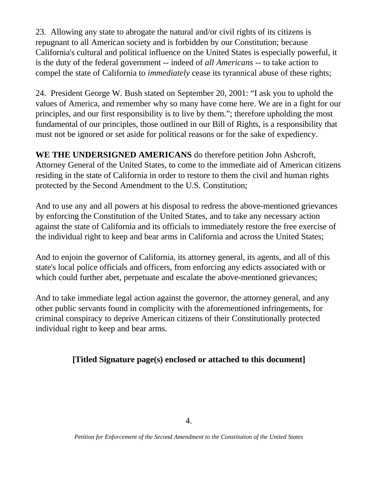23. Allowing any state to abrogate the natural and/or civil rights of its citizens is repugnant to all American society and is forbidden by our Constitution; because California's cultural and political influence on the United States is especially powerful, it is the duty of the federal government -- indeed of *all Americans* -- to take action to compel the state of California to *immediately* cease its tyrannical abuse of these rights;

24. President George W. Bush stated on September 20, 2001: "I ask you to uphold the values of America, and remember why so many have come here. We are in a fight for our principles, and our first responsibility is to live by them."; therefore upholding the most fundamental of our principles, those outlined in our Bill of Rights, is a responsibility that must not be ignored or set aside for political reasons or for the sake of expediency.

**WE THE UNDERSIGNED AMERICANS** do therefore petition John Ashcroft, Attorney General of the United States, to come to the immediate aid of American citizens residing in the state of California in order to restore to them the civil and human rights protected by the Second Amendment to the U.S. Constitution;

And to use any and all powers at his disposal to redress the above-mentioned grievances by enforcing the Constitution of the United States, and to take any necessary action against the state of California and its officials to immediately restore the free exercise of the individual right to keep and bear arms in California and across the United States;

And to enjoin the governor of California, its attorney general, its agents, and all of this state's local police officials and officers, from enforcing any edicts associated with or which could further abet, perpetuate and escalate the above-mentioned grievances;

And to take immediate legal action against the governor, the attorney general, and any other public servants found in complicity with the aforementioned infringements, for criminal conspiracy to deprive American citizens of their Constitutionally protected individual right to keep and bear arms.

### **[Titled Signature page(s) enclosed or attached to this document]**

*Petition for Enforcement of the Second Amendment to the Constitution of the United States*